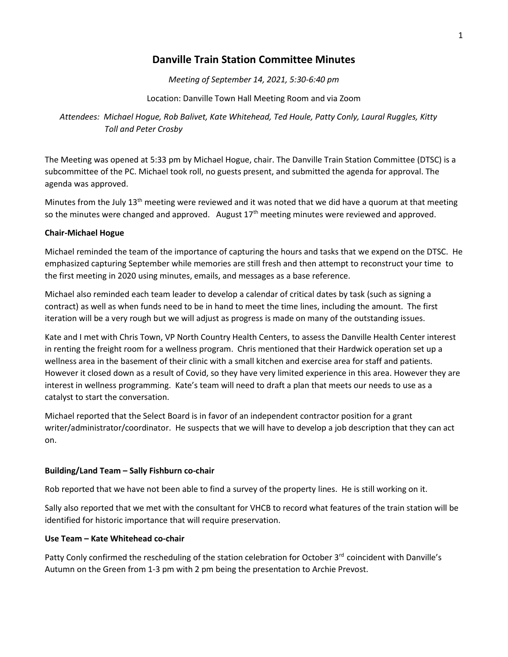# **Danville Train Station Committee Minutes**

*Meeting of September 14, 2021, 5:30-6:40 pm*

Location: Danville Town Hall Meeting Room and via Zoom

*Attendees: Michael Hogue, Rob Balivet, Kate Whitehead, Ted Houle, Patty Conly, Laural Ruggles, Kitty Toll and Peter Crosby*

The Meeting was opened at 5:33 pm by Michael Hogue, chair. The Danville Train Station Committee (DTSC) is a subcommittee of the PC. Michael took roll, no guests present, and submitted the agenda for approval. The agenda was approved.

Minutes from the July 13<sup>th</sup> meeting were reviewed and it was noted that we did have a quorum at that meeting so the minutes were changed and approved. August  $17<sup>th</sup>$  meeting minutes were reviewed and approved.

## **Chair-Michael Hogue**

Michael reminded the team of the importance of capturing the hours and tasks that we expend on the DTSC. He emphasized capturing September while memories are still fresh and then attempt to reconstruct your time to the first meeting in 2020 using minutes, emails, and messages as a base reference.

Michael also reminded each team leader to develop a calendar of critical dates by task (such as signing a contract) as well as when funds need to be in hand to meet the time lines, including the amount. The first iteration will be a very rough but we will adjust as progress is made on many of the outstanding issues.

Kate and I met with Chris Town, VP North Country Health Centers, to assess the Danville Health Center interest in renting the freight room for a wellness program. Chris mentioned that their Hardwick operation set up a wellness area in the basement of their clinic with a small kitchen and exercise area for staff and patients. However it closed down as a result of Covid, so they have very limited experience in this area. However they are interest in wellness programming. Kate's team will need to draft a plan that meets our needs to use as a catalyst to start the conversation.

Michael reported that the Select Board is in favor of an independent contractor position for a grant writer/administrator/coordinator. He suspects that we will have to develop a job description that they can act on.

# **Building/Land Team – Sally Fishburn co-chair**

Rob reported that we have not been able to find a survey of the property lines. He is still working on it.

Sally also reported that we met with the consultant for VHCB to record what features of the train station will be identified for historic importance that will require preservation.

#### **Use Team – Kate Whitehead co-chair**

Patty Conly confirmed the rescheduling of the station celebration for October 3rd coincident with Danville's Autumn on the Green from 1-3 pm with 2 pm being the presentation to Archie Prevost.